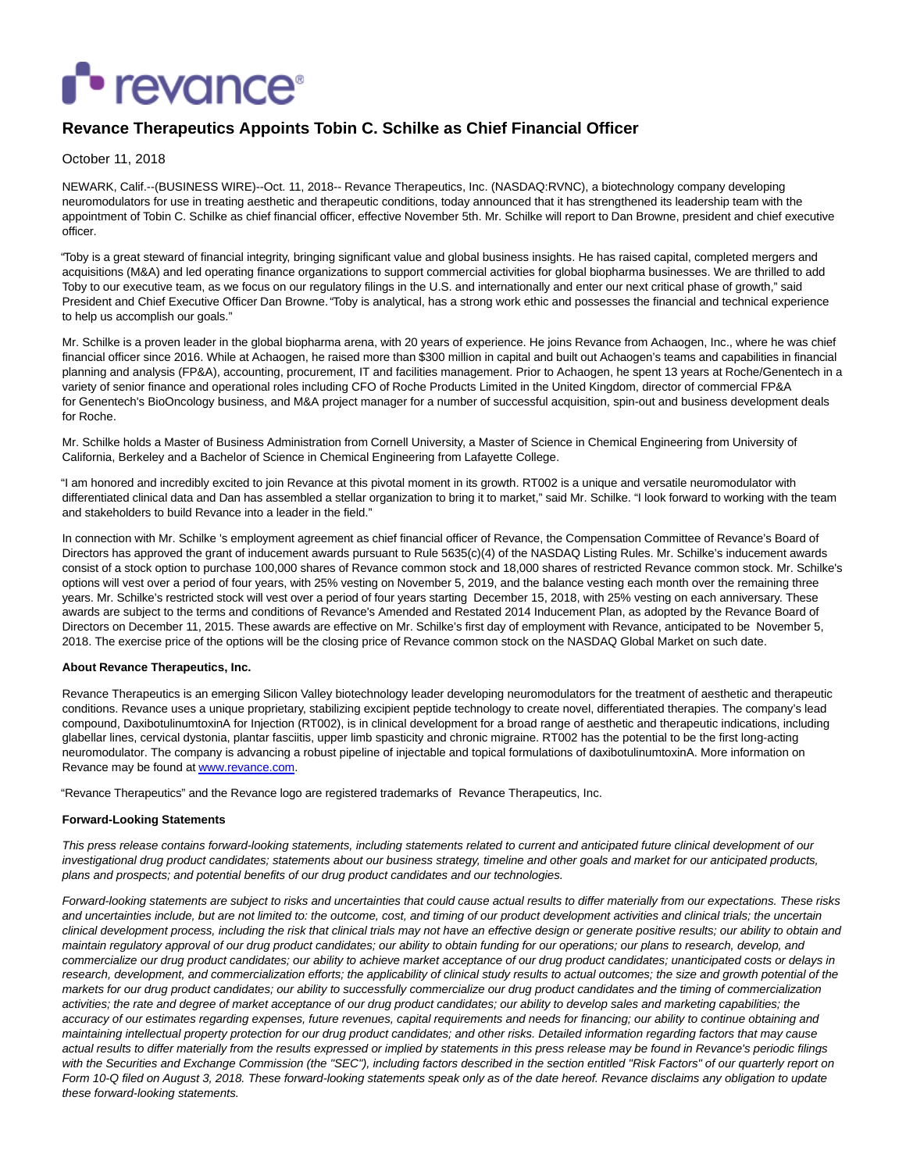

## **Revance Therapeutics Appoints Tobin C. Schilke as Chief Financial Officer**

October 11, 2018

NEWARK, Calif.--(BUSINESS WIRE)--Oct. 11, 2018-- Revance Therapeutics, Inc. (NASDAQ:RVNC), a biotechnology company developing neuromodulators for use in treating aesthetic and therapeutic conditions, today announced that it has strengthened its leadership team with the appointment of Tobin C. Schilke as chief financial officer, effective November 5th. Mr. Schilke will report to Dan Browne, president and chief executive officer.

"Toby is a great steward of financial integrity, bringing significant value and global business insights. He has raised capital, completed mergers and acquisitions (M&A) and led operating finance organizations to support commercial activities for global biopharma businesses. We are thrilled to add Toby to our executive team, as we focus on our regulatory filings in the U.S. and internationally and enter our next critical phase of growth," said President and Chief Executive Officer Dan Browne. "Toby is analytical, has a strong work ethic and possesses the financial and technical experience to help us accomplish our goals."

Mr. Schilke is a proven leader in the global biopharma arena, with 20 years of experience. He joins Revance from Achaogen, Inc., where he was chief financial officer since 2016. While at Achaogen, he raised more than \$300 million in capital and built out Achaogen's teams and capabilities in financial planning and analysis (FP&A), accounting, procurement, IT and facilities management. Prior to Achaogen, he spent 13 years at Roche/Genentech in a variety of senior finance and operational roles including CFO of Roche Products Limited in the United Kingdom, director of commercial FP&A for Genentech's BioOncology business, and M&A project manager for a number of successful acquisition, spin-out and business development deals for Roche.

Mr. Schilke holds a Master of Business Administration from Cornell University, a Master of Science in Chemical Engineering from University of California, Berkeley and a Bachelor of Science in Chemical Engineering from Lafayette College.

"I am honored and incredibly excited to join Revance at this pivotal moment in its growth. RT002 is a unique and versatile neuromodulator with differentiated clinical data and Dan has assembled a stellar organization to bring it to market," said Mr. Schilke. "I look forward to working with the team and stakeholders to build Revance into a leader in the field."

In connection with Mr. Schilke 's employment agreement as chief financial officer of Revance, the Compensation Committee of Revance's Board of Directors has approved the grant of inducement awards pursuant to Rule 5635(c)(4) of the NASDAQ Listing Rules. Mr. Schilke's inducement awards consist of a stock option to purchase 100,000 shares of Revance common stock and 18,000 shares of restricted Revance common stock. Mr. Schilke's options will vest over a period of four years, with 25% vesting on November 5, 2019, and the balance vesting each month over the remaining three years. Mr. Schilke's restricted stock will vest over a period of four years starting December 15, 2018, with 25% vesting on each anniversary. These awards are subject to the terms and conditions of Revance's Amended and Restated 2014 Inducement Plan, as adopted by the Revance Board of Directors on December 11, 2015. These awards are effective on Mr. Schilke's first day of employment with Revance, anticipated to be November 5, 2018. The exercise price of the options will be the closing price of Revance common stock on the NASDAQ Global Market on such date.

## **About Revance Therapeutics, Inc.**

Revance Therapeutics is an emerging Silicon Valley biotechnology leader developing neuromodulators for the treatment of aesthetic and therapeutic conditions. Revance uses a unique proprietary, stabilizing excipient peptide technology to create novel, differentiated therapies. The company's lead compound, DaxibotulinumtoxinA for Injection (RT002), is in clinical development for a broad range of aesthetic and therapeutic indications, including glabellar lines, cervical dystonia, plantar fasciitis, upper limb spasticity and chronic migraine. RT002 has the potential to be the first long-acting neuromodulator. The company is advancing a robust pipeline of injectable and topical formulations of daxibotulinumtoxinA. More information on Revance may be found a[t www.revance.com.](http://cts.businesswire.com/ct/CT?id=smartlink&url=http%3A%2F%2Fwww.revance.com&esheet=51881418&newsitemid=20181011005236&lan=en-US&anchor=www.revance.com&index=1&md5=927bff0619c6126b4a792cd8409cd881)

"Revance Therapeutics" and the Revance logo are registered trademarks of Revance Therapeutics, Inc.

## **Forward-Looking Statements**

This press release contains forward-looking statements, including statements related to current and anticipated future clinical development of our investigational drug product candidates; statements about our business strategy, timeline and other goals and market for our anticipated products, plans and prospects; and potential benefits of our drug product candidates and our technologies.

Forward-looking statements are subject to risks and uncertainties that could cause actual results to differ materially from our expectations. These risks and uncertainties include, but are not limited to: the outcome, cost, and timing of our product development activities and clinical trials; the uncertain clinical development process, including the risk that clinical trials may not have an effective design or generate positive results; our ability to obtain and maintain regulatory approval of our drug product candidates; our ability to obtain funding for our operations; our plans to research, develop, and commercialize our drug product candidates; our ability to achieve market acceptance of our drug product candidates; unanticipated costs or delays in research, development, and commercialization efforts; the applicability of clinical study results to actual outcomes; the size and growth potential of the markets for our drug product candidates; our ability to successfully commercialize our drug product candidates and the timing of commercialization activities; the rate and degree of market acceptance of our drug product candidates; our ability to develop sales and marketing capabilities; the accuracy of our estimates regarding expenses, future revenues, capital requirements and needs for financing; our ability to continue obtaining and maintaining intellectual property protection for our drug product candidates; and other risks. Detailed information regarding factors that may cause actual results to differ materially from the results expressed or implied by statements in this press release may be found in Revance's periodic filings with the Securities and Exchange Commission (the "SEC"), including factors described in the section entitled "Risk Factors" of our quarterly report on Form 10-Q filed on August 3, 2018. These forward-looking statements speak only as of the date hereof. Revance disclaims any obligation to update these forward-looking statements.